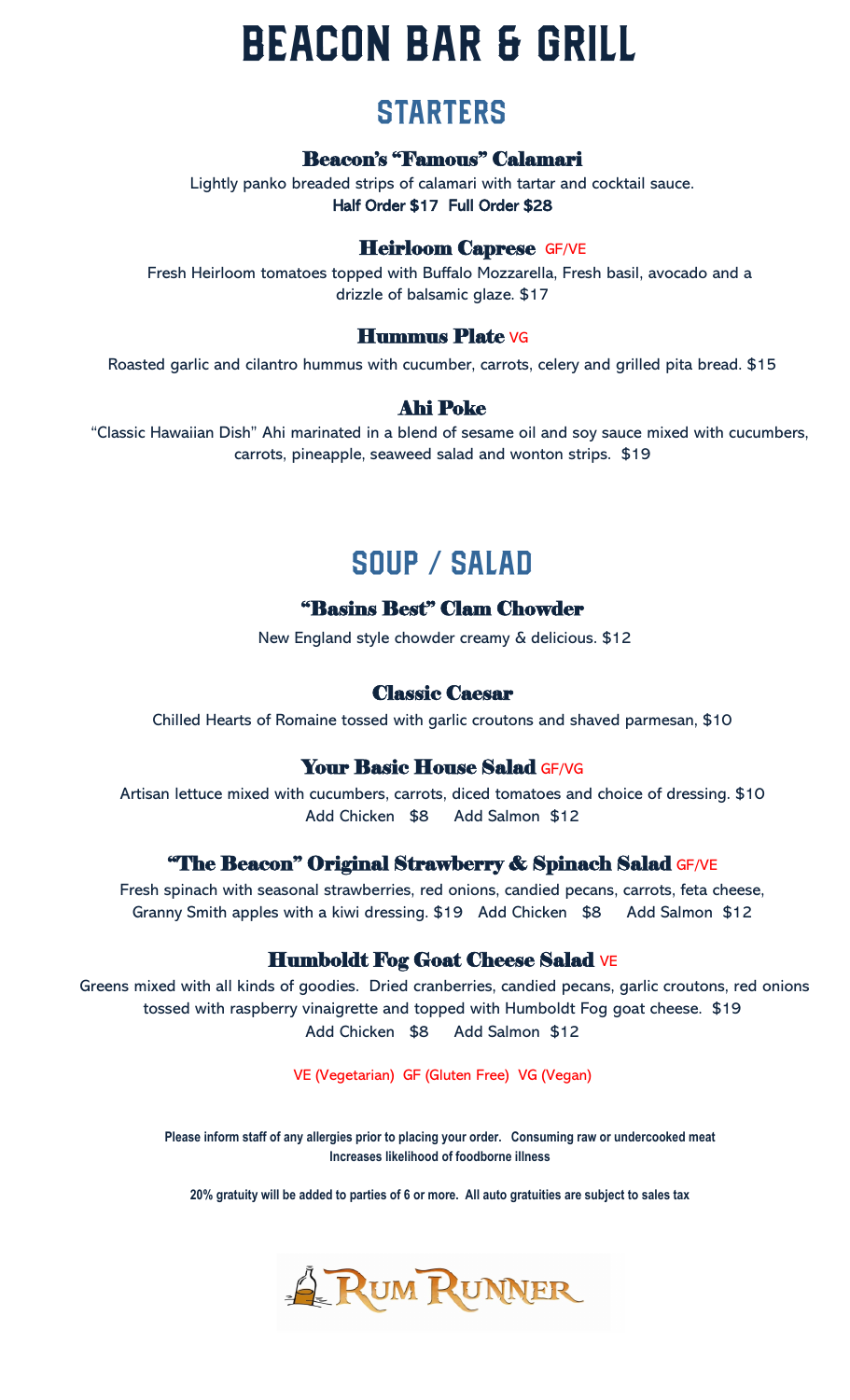# **BEACON BAR & GRILL**

### **STARTERS**

#### Beacon's "Famous" Calamari

Lightly panko breaded strips of calamari with tartar and cocktail sauce. Half Order \$17 Full Order \$28

### Heirloom Caprese GF/VE

Fresh Heirloom tomatoes topped with Buffalo Mozzarella, Fresh basil, avocado and a drizzle of balsamic glaze. \$17

#### Hummus Plate VG

Roasted garlic and cilantro hummus with cucumber, carrots, celery and grilled pita bread. \$15

### Ahi Poke

"Classic Hawaiian Dish" Ahi marinated in a blend of sesame oil and soy sauce mixed with cucumbers, carrots, pineapple, seaweed salad and wonton strips. \$19

# SOUP / SALAD

### "Basins Best" Clam Chowder

New England style chowder creamy & delicious. \$12

#### Classic Caesar

Chilled Hearts of Romaine tossed with garlic croutons and shaved parmesan, \$10

#### Your Basic House Salad GF/VG

Artisan lettuce mixed with cucumbers, carrots, diced tomatoes and choice of dressing. \$10 Add Chicken \$8 Add Salmon \$12

#### **"The Beacon" Original Strawberry & Spinach Salad GF/VE**

Fresh spinach with seasonal strawberries, red onions, candied pecans, carrots, feta cheese, Granny Smith apples with a kiwi dressing. \$19 Add Chicken \$8 Add Salmon \$12

#### Humboldt Fog Goat Cheese Salad VE

Greens mixed with all kinds of goodies. Dried cranberries, candied pecans, garlic croutons, red onions tossed with raspberry vinaigrette and topped with Humboldt Fog goat cheese. \$19 Add Chicken \$8 Add Salmon \$12

VE (Vegetarian) GF (Gluten Free) VG (Vegan)

**Please inform staff of any allergies prior to placing your order. Consuming raw or undercooked meat Increases likelihood of foodborne illness**

**20% gratuity will be added to parties of 6 or more. All auto gratuities are subject to sales tax**